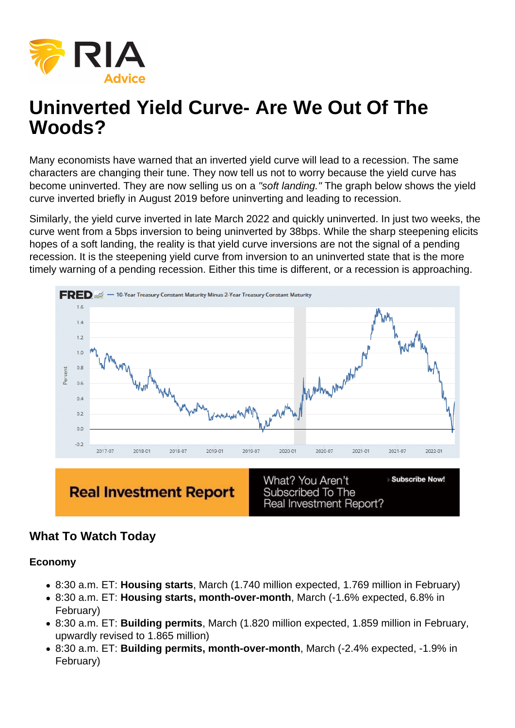# Uninverted Yield Curve- Are We Out Of The Woods?

Many economists have warned that an inverted yield curve will lead to a recession. The same characters are changing their tune. They now tell us not to worry because the yield curve has become uninverted. They are now selling us on a "soft landing." The graph below shows the yield curve inverted briefly in August 2019 before uninverting and leading to recession.

Similarly, the yield curve inverted in late March 2022 and quickly uninverted. In just two weeks, the curve went from a 5bps inversion to being uninverted by 38bps. While the sharp steepening elicits hopes of a soft landing, the reality is that yield curve inversions are not the signal of a pending recession. It is the steepening yield curve from inversion to an uninverted state that is the more timely warning of a pending recession. Either this time is different, or a recession is approaching.

## What To Watch Today

Economy

- 8:30 a.m. ET: Housing starts , March (1.740 million expected, 1.769 million in February)
- 8:30 a.m. ET: Housing starts, month-over-month , March (-1.6% expected, 6.8% in February)
- 8:30 a.m. ET: Building permits , March (1.820 million expected, 1.859 million in February, upwardly revised to 1.865 million)
- 8:30 a.m. ET: Building permits, month-over-month , March (-2.4% expected, -1.9% in February)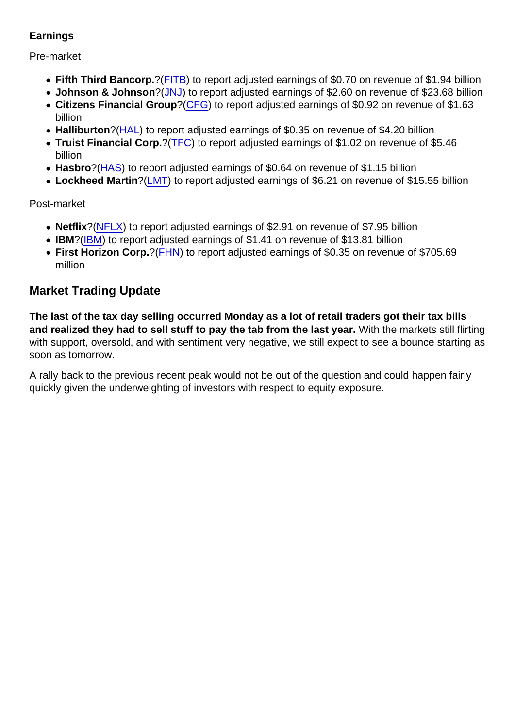#### **Earnings**

#### Pre-market

- Fifth Third Bancorp. ? [\(FITB](https://finance.yahoo.com/quote/FITB)) to report adjusted earnings of \$0.70 on revenue of \$1.94 billion
- Johnson & Johnson ?[\(JNJ\)](https://finance.yahoo.com/quote/JNJ) to report adjusted earnings of \$2.60 on revenue of \$23.68 billion
- Citizens Financial Group ? [\(CFG\)](https://finance.yahoo.com/quote/CFG) to report adjusted earnings of \$0.92 on revenue of \$1.63 billion
- Halliburton ?[\(HAL](https://finance.yahoo.com/quote/HAL)) to report adjusted earnings of \$0.35 on revenue of \$4.20 billion
- Truist Financial Corp. ?[\(TFC](https://finance.yahoo.com/quote/TFC)) to report adjusted earnings of \$1.02 on revenue of \$5.46 billion
- Hasbro ?[\(HAS\)](https://finance.yahoo.com/quote/HAS) to report adjusted earnings of \$0.64 on revenue of \$1.15 billion
- Lockheed Martin ?[\(LMT](https://finance.yahoo.com/quote/LMT)) to report adjusted earnings of \$6.21 on revenue of \$15.55 billion

## Post-market

- Netflix ?[\(NFLX](https://finance.yahoo.com/quote/NFLX)) to report adjusted earnings of \$2.91 on revenue of \$7.95 billion
- [IBM](https://finance.yahoo.com/quote/IBM)?(IBM) to report adjusted earnings of \$1.41 on revenue of \$13.81 billion
- First Horizon Corp. ? [\(FHN](https://finance.yahoo.com/quote/FHN)) to report adjusted earnings of \$0.35 on revenue of \$705.69 million

# Market Trading Update

The last of the tax day selling occurred Monday as a lot of retail traders got their tax bills and realized they had to sell stuff to pay the tab from the last year. With the markets still flirting with support, oversold, and with sentiment very negative, we still expect to see a bounce starting as soon as tomorrow.

A rally back to the previous recent peak would not be out of the question and could happen fairly quickly given the underweighting of investors with respect to equity exposure.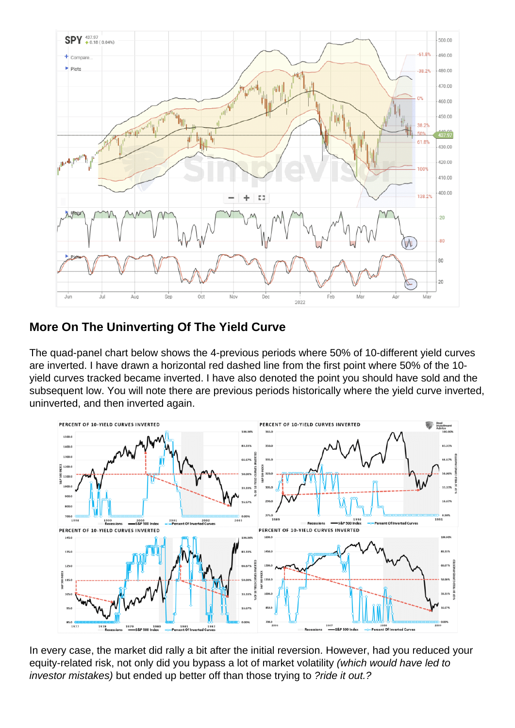## More On The Uninverting Of The Yield Curve

The quad-panel chart below shows the 4-previous periods where 50% of 10-different yield curves are inverted. I have drawn a horizontal red dashed line from the first point where 50% of the 10 yield curves tracked became inverted. I have also denoted the point you should have sold and the subsequent low. You will note there are previous periods historically where the yield curve inverted, uninverted, and then inverted again.

In every case, the market did rally a bit after the initial reversion. However, had you reduced your equity-related risk, not only did you bypass a lot of market volatility (which would have led to investor mistakes) but ended up better off than those trying to ?ride it out.?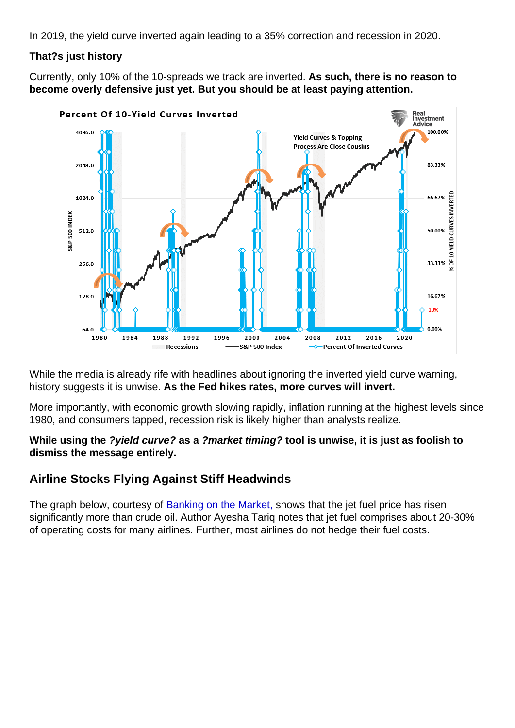In 2019, the yield curve inverted again leading to a 35% correction and recession in 2020.

That?s just history

Currently, only 10% of the 10-spreads we track are inverted. As such, there is no reason to become overly defensive just yet. But you should be at least paying attention.

While the media is already rife with headlines about ignoring the inverted yield curve warning, history suggests it is unwise. As the Fed hikes rates, more curves will invert.

More importantly, with economic growth slowing rapidly, inflation running at the highest levels since 1980, and consumers tapped, recession risk is likely higher than analysts realize.

While using the ?yield curve? as a ?market timing? tool is unwise, it is just as foolish to dismiss the message entirely.

Airline Stocks Flying Against Stiff Headwinds

The graph below, courtesy of [Banking on the Market,](https://ayeshatariq.substack.com/p/the-weekend-edition-38?s=r) shows that the jet fuel price has risen significantly more than crude oil. Author Ayesha Tariq notes that jet fuel comprises about 20-30% of operating costs for many airlines. Further, most airlines do not hedge their fuel costs.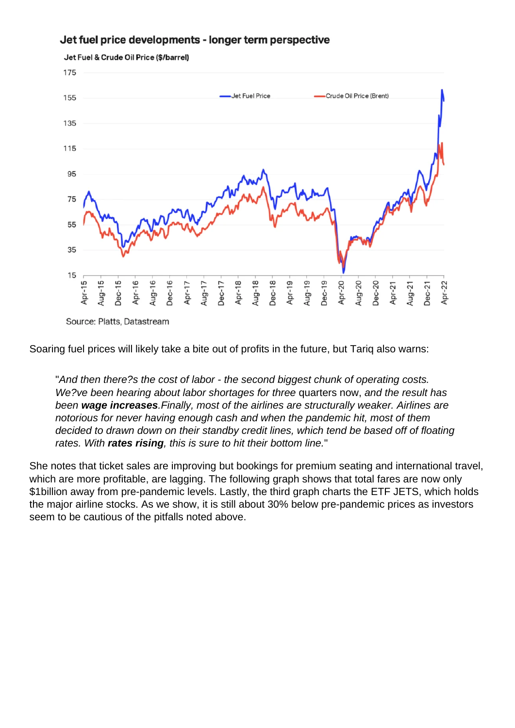Soaring fuel prices will likely take a bite out of profits in the future, but Tariq also warns:

"And then there?s the cost of labor - the second biggest chunk of operating costs. We?ve been hearing about labor shortages for three quarters now, and the result has been wage increases .Finally, most of the airlines are structurally weaker. Airlines are notorious for never having enough cash and when the pandemic hit, most of them decided to drawn down on their standby credit lines, which tend be based off of floating rates. With rates rising , this is sure to hit their bottom line."

She notes that ticket sales are improving but bookings for premium seating and international travel, which are more profitable, are lagging. The following graph shows that total fares are now only \$1billion away from pre-pandemic levels. Lastly, the third graph charts the ETF JETS, which holds the major airline stocks. As we show, it is still about 30% below pre-pandemic prices as investors seem to be cautious of the pitfalls noted above.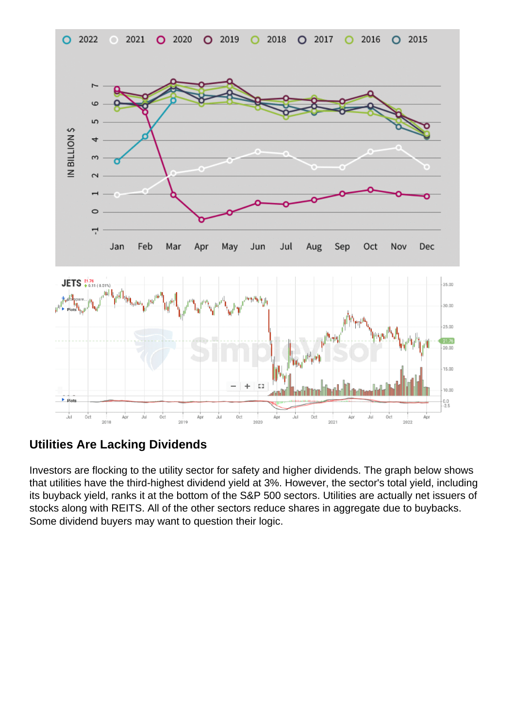Utilities Are Lacking Dividends

Investors are flocking to the utility sector for safety and higher dividends. The graph below shows that utilities have the third-highest dividend yield at 3%. However, the sector's total yield, including its buyback yield, ranks it at the bottom of the S&P 500 sectors. Utilities are actually net issuers of stocks along with REITS. All of the other sectors reduce shares in aggregate due to buybacks. Some dividend buyers may want to question their logic.